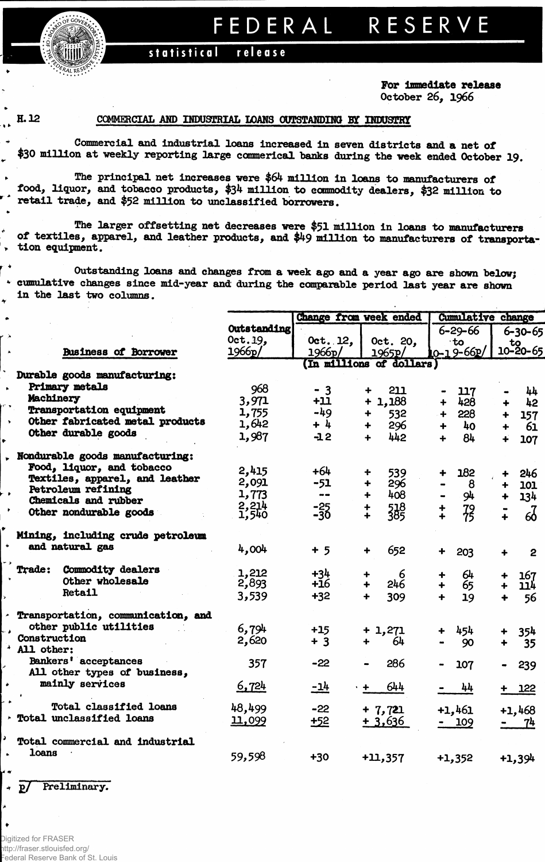FEDERAL RESERVE

## statistical release

For immediate release October 26. 1966

## H.12

 $\ddot{\phantom{1}}$ 

¥

 $\bullet$ 

## COMMERCIAL AND INDUSTRIAL LOANS OUTSTANDING BY INDUSTRY

Commercial and industrial loans increased in seven districts and a net of \$30 million at weekly reporting large commerical banks during the week ended October 19.

The principal net increases were \$64 million in loans to manufacturers of food, liquor, and tobacco products, \$34 million to commodity dealers, \$32 million to retail trade, and \$52 million to unclassified borrowers.

The larger offsetting net decreases were \$51 million in loans to manufacturers of textiles, apparel, and leather products, and \$49 million to manufacturers of transportation equipment.

Outstanding loans and changes from a week ago and a year ago are shown below; \* cumulative changes since mid-year and during the comparable period last year are shown in the last two columns.

|                                    |             |               | Change from week ended   | Cumulative change          |                                  |
|------------------------------------|-------------|---------------|--------------------------|----------------------------|----------------------------------|
|                                    | Outstanding |               |                          | $6 - 29 - 66$              | 6-30-65                          |
|                                    | Oct.19,     | $0$ ct. 12,   | Oct. 20,                 | ∙to                        |                                  |
| <b>Business of Borrower</b>        | 1966p/      | 1966p/        | 1965p/                   | 0-19-66P/                  | $\frac{10}{10-20-65}$            |
|                                    |             |               | (In millions of dollars) |                            |                                  |
| Durable goods manufacturing:       |             |               |                          |                            |                                  |
| Primary metals                     | 968         | $-3$          | 211                      | 117                        | $\mathbf{h}$                     |
| Machinery                          | 3,971       | $+11$         | $+1,188$                 | 428<br>$\ddot{+}$          | 42                               |
| <b>Transportation equipment</b>    | 1,755       | $-49$         | 532<br>┿                 | 228<br>$+$                 | 157                              |
| Other fabricated metal products    | 1,642       | $+ 4$         | 296<br>╇                 | 40 <sub>o</sub><br>$+$     | 61                               |
| Other durable goods                | 1,987       | $-12$         | 442<br>$\ddotmark$       | 84<br>÷                    |                                  |
|                                    |             |               |                          |                            | 107<br>∔                         |
| Nondurable goods manufacturing:    |             |               |                          |                            |                                  |
| Food, liquor, and tobacco          | 2,415       | $+64$         | 539<br>÷                 | 182                        | 246<br>$\ddot{\phantom{1}}$      |
| Textiles, apparel, and leather     | 2,091       | $-51$         | 296<br>÷                 | 8                          | 101<br>+                         |
| Petroleum refining                 | 1,773       | $\frac{1}{2}$ | 408<br>$\ddotmark$       | 94                         | 134<br>$\ddot{\bullet}$          |
| Chemicals and rubber               | 2,214       |               | ┿                        |                            |                                  |
| Other nondurable goods             | 1,540       | $-25$         | 518<br>385<br>╇          | $72^{12}$<br>$\frac{+}{+}$ | $\delta$                         |
|                                    |             |               |                          |                            |                                  |
| Mining, including crude petroleum  |             |               |                          |                            |                                  |
| and natural gas                    | 4,004       | $+5$          | 652<br>÷                 | 203<br>┿                   | $\overline{2}$<br>$\ddotmark$    |
| Trade: Commodity dealers           |             |               |                          |                            |                                  |
| Other wholesale                    | 1,212       | $+34$         | 6<br>┿                   | 64                         | 167                              |
| <b>Retail</b>                      | 2,893       | $+16$         | 246<br>∔                 | 65                         | <u> 114</u>                      |
|                                    | 3,539       | $+32$         | 309<br>$\ddotmark$       | 19<br>$\ddot{\phantom{1}}$ | 56                               |
| Transportation, communication, and |             |               |                          |                            |                                  |
| other public utilities             | 6,794       |               |                          |                            |                                  |
| Construction                       | 2,620       | $+15$         | $+1,271$                 | 454<br>┿                   | 354                              |
| All other:                         |             | $+3$          | 64<br>╇                  | 90                         | 35                               |
| Bankers' acceptances               | 357         | $-22$         | 286                      |                            |                                  |
| All other types of business,       |             |               |                          | 107                        | 239                              |
| mainly services                    | 6,724       | $-14$         | 644                      |                            |                                  |
|                                    |             |               |                          | 44                         | $+ 122$                          |
| Total classified loans             | 48,499      | $-22$         | $+7,721$                 | $+1,461$                   | $+1,468$                         |
| Total unclassified loans           | 11,099      | $+52$         | $+3,636$                 |                            |                                  |
|                                    |             |               |                          | $-109$                     | 7 <sup>h</sup><br>$\blacksquare$ |
| Total commercial and industrial    |             |               |                          |                            |                                  |
| <b>loans</b>                       | 59,598      | $+30$         |                          |                            |                                  |
|                                    |             |               | $+11,357$                | $+1,352$                   | +1,394                           |
|                                    |             |               |                          |                            |                                  |